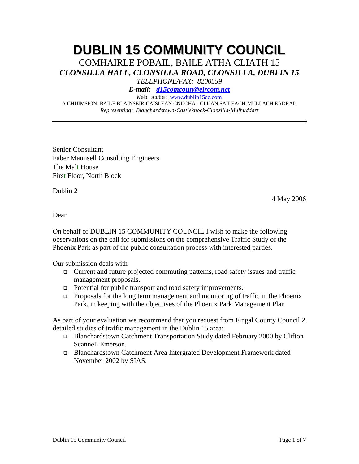# **DUBLIN 15 COMMUNITY COUNCIL**

COMHAIRLE POBAIL, BAILE ATHA CLIATH 15 *CLONSILLA HALL, CLONSILLA ROAD, CLONSILLA, DUBLIN 15* 

*TELEPHONE/FAX: 8200559* 

*E-mail: d15comcoun@eircom.net*

Web site: www.dublin15cc.com

A CHUIMSION: BAILE BLAINSEIR-CAISLEAN CNUCHA - CLUAN SAILEACH-MULLACH EADRAD *Representing: Blanchardstown-Castleknock-Clonsilla-Mulhuddart* 

Senior Consultant Faber Maunsell Consulting Engineers The Malt House First Floor, North Block

Dublin 2

4 May 2006

Dear

On behalf of DUBLIN 15 COMMUNITY COUNCIL I wish to make the following observations on the call for submissions on the comprehensive Traffic Study of the Phoenix Park as part of the public consultation process with interested parties.

Our submission deals with

- Current and future projected commuting patterns, road safety issues and traffic management proposals.
- □ Potential for public transport and road safety improvements.
- Proposals for the long term management and monitoring of traffic in the Phoenix Park, in keeping with the objectives of the Phoenix Park Management Plan

As part of your evaluation we recommend that you request from Fingal County Council 2 detailed studies of traffic management in the Dublin 15 area:

- Blanchardstown Catchment Transportation Study dated February 2000 by Clifton Scannell Emerson.
- Blanchardstown Catchment Area Intergrated Development Framework dated November 2002 by SIAS.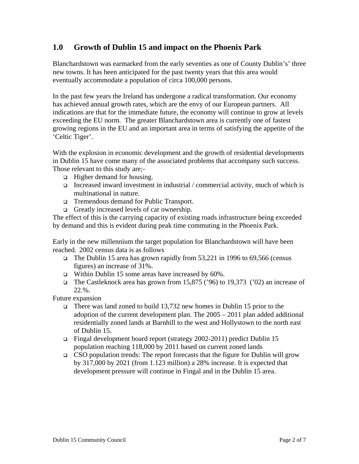# **1.0 Growth of Dublin 15 and impact on the Phoenix Park**

Blanchardstown was earmarked from the early seventies as one of County Dublin's' three new towns. It has been anticipated for the past twenty years that this area would eventually accommodate a population of circa 100,000 persons.

In the past few years the Ireland has undergone a radical transformation. Our economy has achieved annual growth rates, which are the envy of our European partners. All indications are that for the immediate future, the economy will continue to grow at levels exceeding the EU norm. The greater Blanchardstown area is currently one of fastest growing regions in the EU and an important area in terms of satisfying the appetite of the 'Celtic Tiger'.

With the explosion in economic development and the growth of residential developments in Dublin 15 have come many of the associated problems that accompany such success. Those relevant to this study are;-

- $\Box$  Higher demand for housing.
- Increased inward investment in industrial / commercial activity, much of which is multinational in nature.
- Tremendous demand for Public Transport.
- Greatly increased levels of car ownership.

The effect of this is the carrying capacity of existing roads infrastructure being exceeded by demand and this is evident during peak time commuting in the Phoenix Park.

Early in the new millennium the target population for Blanchardstown will have been reached. 2002 census data is as follows

- The Dublin 15 area has grown rapidly from 53,221 in 1996 to 69,566 (census figures) an increase of 31%.
- Within Dublin 15 some areas have increased by  $60\%$ .
- The Castleknock area has grown from 15,875 ('96) to 19,373 ('02) an increase of 22.%.

Future expansion

- There was land zoned to build 13,732 new homes in Dublin 15 prior to the adoption of the current development plan. The 2005 – 2011 plan added additional residentially zoned lands at Barnhill to the west and Hollystown to the north east of Dublin 15.
- Fingal development board report (strategy 2002-2011) predict Dublin 15 population reaching 118,000 by 2011 based on current zoned lands
- CSO population trends: The report forecasts that the figure for Dublin will grow by 317,000 by 2021 (from 1.123 million) a 28% increase. It is expected that development pressure will continue in Fingal and in the Dublin 15 area.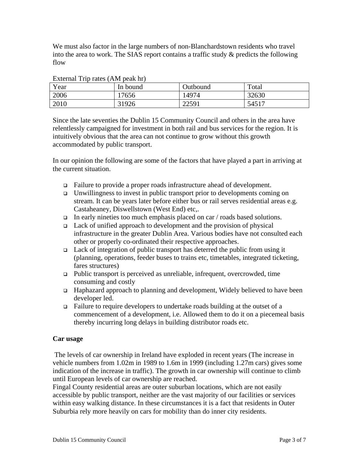We must also factor in the large numbers of non-Blanchardstown residents who travel into the area to work. The SIAS report contains a traffic study & predicts the following flow

| Year | In bound | Outbound | Total |
|------|----------|----------|-------|
| 2006 | 17656    | 14974    | 32630 |
| 2010 | 31926    | 22591    | 54517 |

External Trip rates (AM peak hr)

Since the late seventies the Dublin 15 Community Council and others in the area have relentlessly campaigned for investment in both rail and bus services for the region. It is intuitively obvious that the area can not continue to grow without this growth accommodated by public transport.

In our opinion the following are some of the factors that have played a part in arriving at the current situation.

- Failure to provide a proper roads infrastructure ahead of development.
- $\Box$  Unwillingness to invest in public transport prior to developments coming on stream. It can be years later before either bus or rail serves residential areas e.g. Castaheaney, Diswellstown (West End) etc,.
- In early nineties too much emphasis placed on car  $/$  roads based solutions.
- $\Box$  Lack of unified approach to development and the provision of physical infrastructure in the greater Dublin Area. Various bodies have not consulted each other or properly co-ordinated their respective approaches.
- $\Box$  Lack of integration of public transport has deterred the public from using it (planning, operations, feeder buses to trains etc, timetables, integrated ticketing, fares structures)
- $\Box$  Public transport is perceived as unreliable, infrequent, overcrowded, time consuming and costly
- Haphazard approach to planning and development, Widely believed to have been developer led.
- $\Box$  Failure to require developers to undertake roads building at the outset of a commencement of a development, i.e. Allowed them to do it on a piecemeal basis thereby incurring long delays in building distributor roads etc.

## **Car usage**

 The levels of car ownership in Ireland have exploded in recent years (The increase in vehicle numbers from 1.02m in 1989 to 1.6m in 1999 (including 1.27m cars) gives some indication of the increase in traffic). The growth in car ownership will continue to climb until European levels of car ownership are reached.

Fingal County residential areas are outer suburban locations, which are not easily accessible by public transport, neither are the vast majority of our facilities or services within easy walking distance. In these circumstances it is a fact that residents in Outer Suburbia rely more heavily on cars for mobility than do inner city residents.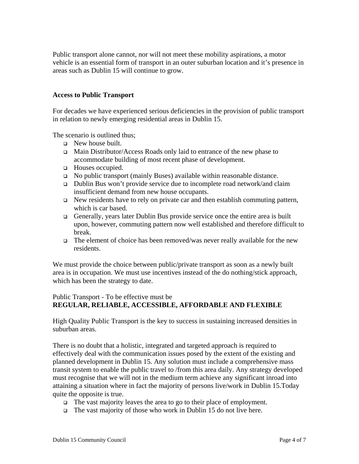Public transport alone cannot, nor will not meet these mobility aspirations, a motor vehicle is an essential form of transport in an outer suburban location and it's presence in areas such as Dublin 15 will continue to grow.

#### **Access to Public Transport**

For decades we have experienced serious deficiencies in the provision of public transport in relation to newly emerging residential areas in Dublin 15.

The scenario is outlined thus;

- New house built.
- Main Distributor/Access Roads only laid to entrance of the new phase to accommodate building of most recent phase of development.
- **Houses occupied.**
- No public transport (mainly Buses) available within reasonable distance.
- Dublin Bus won't provide service due to incomplete road network/and claim insufficient demand from new house occupants.
- $\Box$  New residents have to rely on private car and then establish commuting pattern, which is car based.
- Generally, years later Dublin Bus provide service once the entire area is built upon, however, commuting pattern now well established and therefore difficult to break.
- $\Box$  The element of choice has been removed/was never really available for the new residents.

We must provide the choice between public/private transport as soon as a newly built area is in occupation. We must use incentives instead of the do nothing/stick approach, which has been the strategy to date.

## Public Transport - To be effective must be **REGULAR, RELIABLE, ACCESSIBLE, AFFORDABLE AND FLEXIBLE**

High Quality Public Transport is the key to success in sustaining increased densities in suburban areas.

There is no doubt that a holistic, integrated and targeted approach is required to effectively deal with the communication issues posed by the extent of the existing and planned development in Dublin 15. Any solution must include a comprehensive mass transit system to enable the public travel to /from this area daily. Any strategy developed must recognise that we will not in the medium term achieve any significant inroad into attaining a situation where in fact the majority of persons live/work in Dublin 15.Today quite the opposite is true.

- The vast majority leaves the area to go to their place of employment.
- $\Box$  The vast majority of those who work in Dublin 15 do not live here.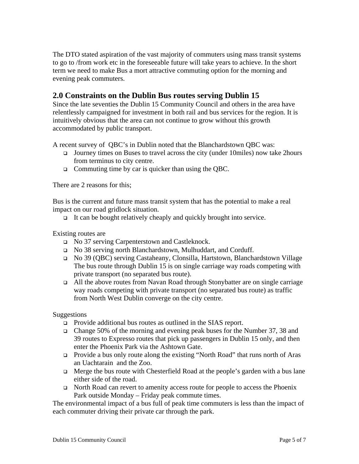The DTO stated aspiration of the vast majority of commuters using mass transit systems to go to /from work etc in the foreseeable future will take years to achieve. In the short term we need to make Bus a mort attractive commuting option for the morning and evening peak commuters.

# **2.0 Constraints on the Dublin Bus routes serving Dublin 15**

Since the late seventies the Dublin 15 Community Council and others in the area have relentlessly campaigned for investment in both rail and bus services for the region. It is intuitively obvious that the area can not continue to grow without this growth accommodated by public transport.

A recent survey of QBC's in Dublin noted that the Blanchardstown QBC was:

- Journey times on Buses to travel across the city (under 10miles) now take 2hours from terminus to city centre.
- □ Commuting time by car is quicker than using the QBC.

There are 2 reasons for this;

Bus is the current and future mass transit system that has the potential to make a real impact on our road gridlock situation.

It can be bought relatively cheaply and quickly brought into service.

#### Existing routes are

- No 37 serving Carpenterstown and Castleknock.
- No 38 serving north Blanchardstown, Mulhuddart, and Corduff.
- No 39 (QBC) serving Castaheany, Clonsilla, Hartstown, Blanchardstown Village The bus route through Dublin 15 is on single carriage way roads competing with private transport (no separated bus route).
- All the above routes from Navan Road through Stonybatter are on single carriage way roads competing with private transport (no separated bus route) as traffic from North West Dublin converge on the city centre.

Suggestions

- □ Provide additional bus routes as outlined in the SIAS report.
- Change 50% of the morning and evening peak buses for the Number 37, 38 and 39 routes to Expresso routes that pick up passengers in Dublin 15 only, and then enter the Phoenix Park via the Ashtown Gate.
- Provide a bus only route along the existing "North Road" that runs north of Aras an Uachtarain and the Zoo.
- $\Box$  Merge the bus route with Chesterfield Road at the people's garden with a bus lane either side of the road.
- North Road can revert to amenity access route for people to access the Phoenix Park outside Monday – Friday peak commute times.

The environmental impact of a bus full of peak time commuters is less than the impact of each commuter driving their private car through the park.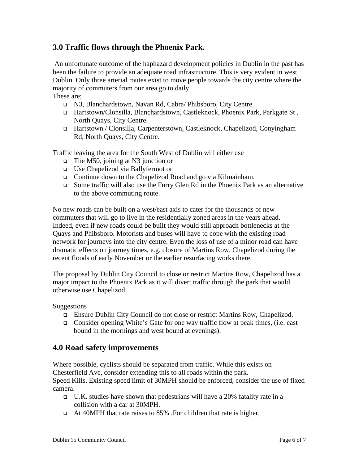# **3.0 Traffic flows through the Phoenix Park.**

 An unfortunate outcome of the haphazard development policies in Dublin in the past has been the failure to provide an adequate road infrastructure. This is very evident in west Dublin. Only three arterial routes exist to move people towards the city centre where the majority of commuters from our area go to daily. These are;

- N3, Blanchardstown, Navan Rd, Cabra/ Phibsboro, City Centre.
- Hartstown/Clonsilla, Blanchardstown, Castleknock, Phoenix Park, Parkgate St , North Quays, City Centre.
- Hartstown / Clonsilla, Carpenterstown, Castleknock, Chapelizod, Conyingham Rd, North Quays, City Centre.

Traffic leaving the area for the South West of Dublin will either use

- $\Box$  The M50, joining at N3 junction or
- Use Chapelizod via Ballyfermot or
- □ Continue down to the Chapelizod Road and go via Kilmainham.
- Some traffic will also use the Furry Glen Rd in the Phoenix Park as an alternative to the above commuting route.

No new roads can be built on a west/east axis to cater for the thousands of new commuters that will go to live in the residentially zoned areas in the years ahead. Indeed, even if new roads could be built they would still approach bottlenecks at the Quays and Phibsboro. Motorists and buses will have to cope with the existing road network for journeys into the city centre. Even the loss of use of a minor road can have dramatic effects on journey times, e.g. closure of Martins Row, Chapelizod during the recent floods of early November or the earlier resurfacing works there.

The proposal by Dublin City Council to close or restrict Martins Row, Chapelizod has a major impact to the Phoenix Park as it will divert traffic through the park that would otherwise use Chapelizod.

#### Suggestions

- Ensure Dublin City Council do not close or restrict Martins Row, Chapelizod.
- Consider opening White's Gate for one way traffic flow at peak times, (i.e. east bound in the mornings and west bound at evenings).

## **4.0 Road safety improvements**

Where possible, cyclists should be separated from traffic. While this exists on Chesterfield Ave, consider extending this to all roads within the park.

Speed Kills. Existing speed limit of 30MPH should be enforced, consider the use of fixed camera.

- U.K. studies have shown that pedestrians will have a 20% fatality rate in a collision with a car at 30MPH.
- At 40MPH that rate raises to 85% .For children that rate is higher.